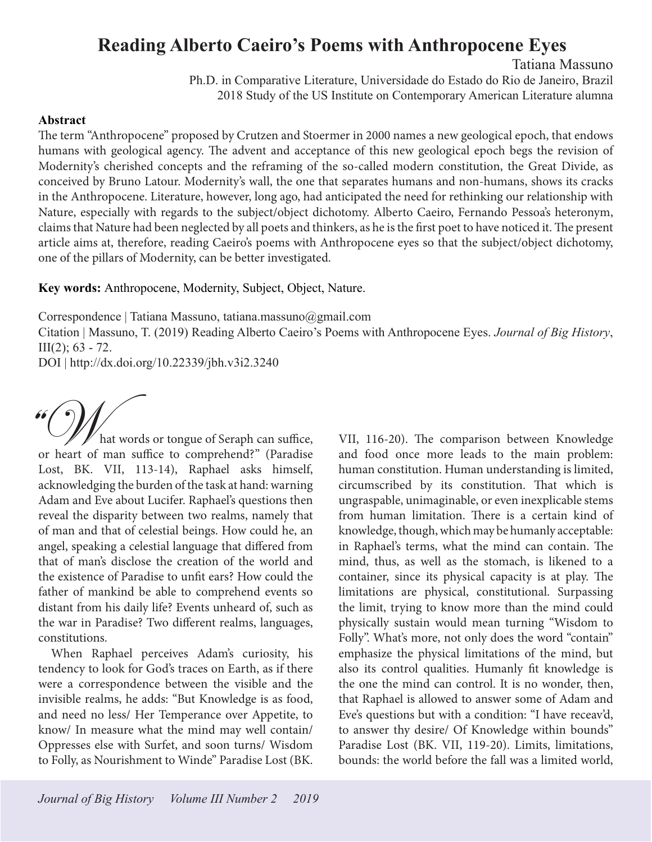## **Reading Alberto Caeiro's Poems with Anthropocene Eyes**

Tatiana Massuno

Ph.D. in Comparative Literature, Universidade do Estado do Rio de Janeiro, Brazil 2018 Study of the US Institute on Contemporary American Literature alumna

## **Abstract**

The term "Anthropocene" proposed by Crutzen and Stoermer in 2000 names a new geological epoch, that endows humans with geological agency. The advent and acceptance of this new geological epoch begs the revision of Modernity's cherished concepts and the reframing of the so-called modern constitution, the Great Divide, as conceived by Bruno Latour. Modernity's wall, the one that separates humans and non-humans, shows its cracks in the Anthropocene. Literature, however, long ago, had anticipated the need for rethinking our relationship with Nature, especially with regards to the subject/object dichotomy. Alberto Caeiro, Fernando Pessoa's heteronym, claims that Nature had been neglected by all poets and thinkers, as he is the first poet to have noticed it. The present article aims at, therefore, reading Caeiro's poems with Anthropocene eyes so that the subject/object dichotomy, one of the pillars of Modernity, can be better investigated.

**Key words:** Anthropocene, Modernity, Subject, Object, Nature.

Correspondence | Tatiana Massuno, tatiana.massuno@gmail.com

Citation | Massuno, T. (2019) Reading Alberto Caeiro's Poems with Anthropocene Eyes. *Journal of Big History*, III(2); 63 - 72.

DOI | http://dx.doi.org/10.22339/jbh.v3i2.3240

hat words or tongue of Seraph can suffice, **66 Manufacture 1997**<br>That words or tongue of Seraph can suffice, or heart of man suffice to comprehend?" (Paradise Lost, BK. VII, 113-14), Raphael asks himself, acknowledging the burden of the task at hand: warning Adam and Eve about Lucifer. Raphael's questions then reveal the disparity between two realms, namely that of man and that of celestial beings. How could he, an angel, speaking a celestial language that differed from that of man's disclose the creation of the world and the existence of Paradise to unfit ears? How could the father of mankind be able to comprehend events so distant from his daily life? Events unheard of, such as the war in Paradise? Two different realms, languages, constitutions.

When Raphael perceives Adam's curiosity, his tendency to look for God's traces on Earth, as if there were a correspondence between the visible and the invisible realms, he adds: "But Knowledge is as food, and need no less/ Her Temperance over Appetite, to know/ In measure what the mind may well contain/ Oppresses else with Surfet, and soon turns/ Wisdom to Folly, as Nourishment to Winde" Paradise Lost (BK.

VII, 116-20). The comparison between Knowledge and food once more leads to the main problem: human constitution. Human understanding is limited, circumscribed by its constitution. That which is ungraspable, unimaginable, or even inexplicable stems from human limitation. There is a certain kind of knowledge, though, which may be humanly acceptable: in Raphael's terms, what the mind can contain. The mind, thus, as well as the stomach, is likened to a container, since its physical capacity is at play. The limitations are physical, constitutional. Surpassing the limit, trying to know more than the mind could physically sustain would mean turning "Wisdom to Folly". What's more, not only does the word "contain" emphasize the physical limitations of the mind, but also its control qualities. Humanly fit knowledge is the one the mind can control. It is no wonder, then, that Raphael is allowed to answer some of Adam and Eve's questions but with a condition: "I have receav'd, to answer thy desire/ Of Knowledge within bounds" Paradise Lost (BK. VII, 119-20). Limits, limitations, bounds: the world before the fall was a limited world,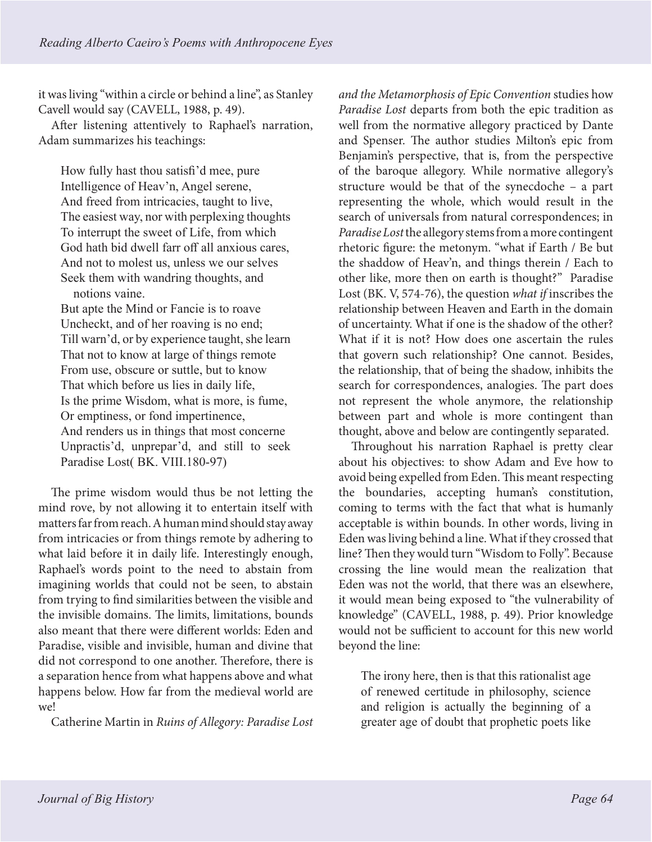it was living "within a circle or behind a line", as Stanley Cavell would say (CAVELL, 1988, p. 49).

After listening attentively to Raphael's narration, Adam summarizes his teachings:

How fully hast thou satisfi'd mee, pure Intelligence of Heav'n, Angel serene, And freed from intricacies, taught to live, The easiest way, nor with perplexing thoughts To interrupt the sweet of Life, from which God hath bid dwell farr off all anxious cares, And not to molest us, unless we our selves Seek them with wandring thoughts, and notions vaine.

But apte the Mind or Fancie is to roave Uncheckt, and of her roaving is no end; Till warn'd, or by experience taught, she learn That not to know at large of things remote From use, obscure or suttle, but to know That which before us lies in daily life, Is the prime Wisdom, what is more, is fume, Or emptiness, or fond impertinence, And renders us in things that most concerne Unpractis'd, unprepar'd, and still to seek Paradise Lost( BK. VIII.180-97)

The prime wisdom would thus be not letting the mind rove, by not allowing it to entertain itself with matters far from reach. A human mind should stay away from intricacies or from things remote by adhering to what laid before it in daily life. Interestingly enough, Raphael's words point to the need to abstain from imagining worlds that could not be seen, to abstain from trying to find similarities between the visible and the invisible domains. The limits, limitations, bounds also meant that there were different worlds: Eden and Paradise, visible and invisible, human and divine that did not correspond to one another. Therefore, there is a separation hence from what happens above and what happens below. How far from the medieval world are we!

Catherine Martin in *Ruins of Allegory: Paradise Lost* 

*and the Metamorphosis of Epic Convention* studies how *Paradise Lost* departs from both the epic tradition as well from the normative allegory practiced by Dante and Spenser. The author studies Milton's epic from Benjamin's perspective, that is, from the perspective of the baroque allegory. While normative allegory's structure would be that of the synecdoche – a part representing the whole, which would result in the search of universals from natural correspondences; in *Paradise Lost* the allegory stems from a more contingent rhetoric figure: the metonym. "what if Earth / Be but the shaddow of Heav'n, and things therein / Each to other like, more then on earth is thought?" Paradise Lost (BK. V, 574-76), the question *what if* inscribes the relationship between Heaven and Earth in the domain of uncertainty. What if one is the shadow of the other? What if it is not? How does one ascertain the rules that govern such relationship? One cannot. Besides, the relationship, that of being the shadow, inhibits the search for correspondences, analogies. The part does not represent the whole anymore, the relationship between part and whole is more contingent than thought, above and below are contingently separated.

Throughout his narration Raphael is pretty clear about his objectives: to show Adam and Eve how to avoid being expelled from Eden. This meant respecting the boundaries, accepting human's constitution, coming to terms with the fact that what is humanly acceptable is within bounds. In other words, living in Eden was living behind a line. What if they crossed that line? Then they would turn "Wisdom to Folly". Because crossing the line would mean the realization that Eden was not the world, that there was an elsewhere, it would mean being exposed to "the vulnerability of knowledge" (CAVELL, 1988, p. 49). Prior knowledge would not be sufficient to account for this new world beyond the line:

The irony here, then is that this rationalist age of renewed certitude in philosophy, science and religion is actually the beginning of a greater age of doubt that prophetic poets like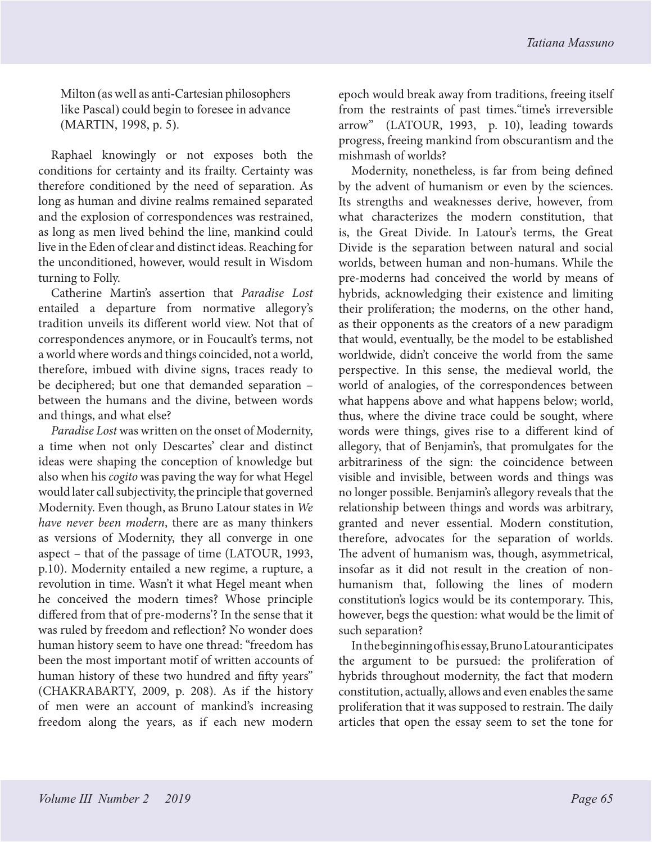Milton (as well as anti-Cartesian philosophers like Pascal) could begin to foresee in advance (MARTIN, 1998, p. 5).

Raphael knowingly or not exposes both the conditions for certainty and its frailty. Certainty was therefore conditioned by the need of separation. As long as human and divine realms remained separated and the explosion of correspondences was restrained, as long as men lived behind the line, mankind could live in the Eden of clear and distinct ideas. Reaching for the unconditioned, however, would result in Wisdom turning to Folly.

Catherine Martin's assertion that *Paradise Lost* entailed a departure from normative allegory's tradition unveils its different world view. Not that of correspondences anymore, or in Foucault's terms, not a world where words and things coincided, not a world, therefore, imbued with divine signs, traces ready to be deciphered; but one that demanded separation – between the humans and the divine, between words and things, and what else?

*Paradise Lost* was written on the onset of Modernity, a time when not only Descartes' clear and distinct ideas were shaping the conception of knowledge but also when his *cogito* was paving the way for what Hegel would later call subjectivity, the principle that governed Modernity. Even though, as Bruno Latour states in *We have never been modern*, there are as many thinkers as versions of Modernity, they all converge in one aspect – that of the passage of time (LATOUR, 1993, p.10). Modernity entailed a new regime, a rupture, a revolution in time. Wasn't it what Hegel meant when he conceived the modern times? Whose principle differed from that of pre-moderns'? In the sense that it was ruled by freedom and reflection? No wonder does human history seem to have one thread: "freedom has been the most important motif of written accounts of human history of these two hundred and fifty years" (CHAKRABARTY, 2009, p. 208). As if the history of men were an account of mankind's increasing freedom along the years, as if each new modern

epoch would break away from traditions, freeing itself from the restraints of past times."time's irreversible arrow" (LATOUR, 1993, p. 10), leading towards progress, freeing mankind from obscurantism and the mishmash of worlds?

Modernity, nonetheless, is far from being defined by the advent of humanism or even by the sciences. Its strengths and weaknesses derive, however, from what characterizes the modern constitution, that is, the Great Divide. In Latour's terms, the Great Divide is the separation between natural and social worlds, between human and non-humans. While the pre-moderns had conceived the world by means of hybrids, acknowledging their existence and limiting their proliferation; the moderns, on the other hand, as their opponents as the creators of a new paradigm that would, eventually, be the model to be established worldwide, didn't conceive the world from the same perspective. In this sense, the medieval world, the world of analogies, of the correspondences between what happens above and what happens below; world, thus, where the divine trace could be sought, where words were things, gives rise to a different kind of allegory, that of Benjamin's, that promulgates for the arbitrariness of the sign: the coincidence between visible and invisible, between words and things was no longer possible. Benjamin's allegory reveals that the relationship between things and words was arbitrary, granted and never essential. Modern constitution, therefore, advocates for the separation of worlds. The advent of humanism was, though, asymmetrical, insofar as it did not result in the creation of nonhumanism that, following the lines of modern constitution's logics would be its contemporary. This, however, begs the question: what would be the limit of such separation?

In the beginning of his essay, Bruno Latour anticipates the argument to be pursued: the proliferation of hybrids throughout modernity, the fact that modern constitution, actually, allows and even enables the same proliferation that it was supposed to restrain. The daily articles that open the essay seem to set the tone for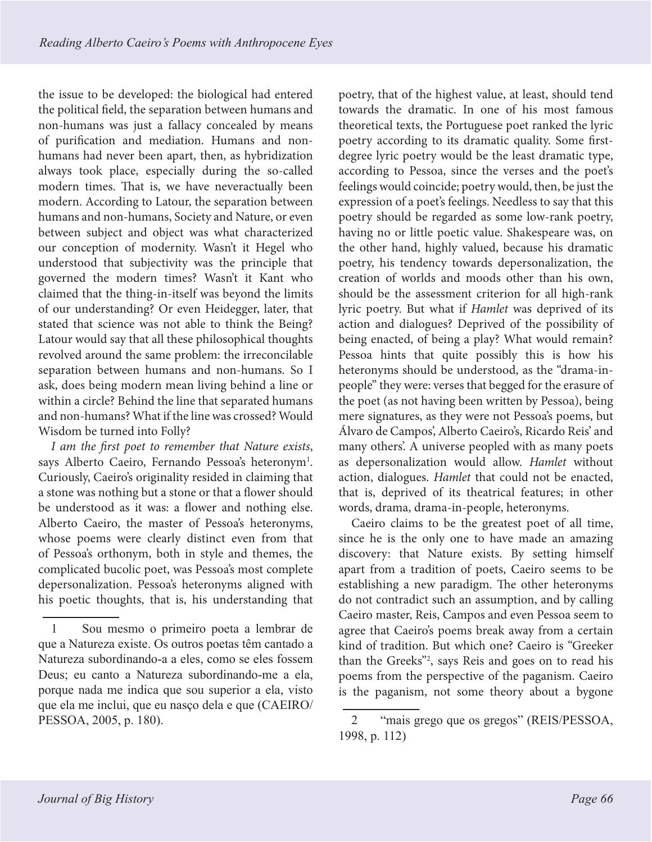the issue to be developed: the biological had entered the political field, the separation between humans and non-humans was just a fallacy concealed by means of purification and mediation. Humans and nonhumans had never been apart, then, as hybridization always took place, especially during the so-called modern times. That is, we have neveractually been modern. According to Latour, the separation between humans and non-humans, Society and Nature, or even between subject and object was what characterized our conception of modernity. Wasn't it Hegel who understood that subjectivity was the principle that governed the modern times? Wasn't it Kant who claimed that the thing-in-itself was beyond the limits of our understanding? Or even Heidegger, later, that stated that science was not able to think the Being? Latour would say that all these philosophical thoughts revolved around the same problem: the irreconcilable separation between humans and non-humans. So I ask, does being modern mean living behind a line or within a circle? Behind the line that separated humans and non-humans? What if the line was crossed? Would Wisdom be turned into Folly?

*I am the first poet to remember that Nature exists*, says Alberto Caeiro, Fernando Pessoa's heteronym<sup>1</sup>. Curiously, Caeiro's originality resided in claiming that a stone was nothing but a stone or that a flower should be understood as it was: a flower and nothing else. Alberto Caeiro, the master of Pessoa's heteronyms, whose poems were clearly distinct even from that of Pessoa's orthonym, both in style and themes, the complicated bucolic poet, was Pessoa's most complete depersonalization. Pessoa's heteronyms aligned with his poetic thoughts, that is, his understanding that

poetry, that of the highest value, at least, should tend towards the dramatic. In one of his most famous theoretical texts, the Portuguese poet ranked the lyric poetry according to its dramatic quality. Some firstdegree lyric poetry would be the least dramatic type, according to Pessoa, since the verses and the poet's feelings would coincide; poetry would, then, be just the expression of a poet's feelings. Needless to say that this poetry should be regarded as some low-rank poetry, having no or little poetic value. Shakespeare was, on the other hand, highly valued, because his dramatic poetry, his tendency towards depersonalization, the creation of worlds and moods other than his own, should be the assessment criterion for all high-rank lyric poetry. But what if *Hamlet* was deprived of its action and dialogues? Deprived of the possibility of being enacted, of being a play? What would remain? Pessoa hints that quite possibly this is how his heteronyms should be understood, as the "drama-inpeople" they were: verses that begged for the erasure of the poet (as not having been written by Pessoa), being mere signatures, as they were not Pessoa's poems, but Álvaro de Campos', Alberto Caeiro's, Ricardo Reis' and many others'. A universe peopled with as many poets as depersonalization would allow. *Hamlet* without action, dialogues. *Hamlet* that could not be enacted, that is, deprived of its theatrical features; in other words, drama, drama-in-people, heteronyms.

Caeiro claims to be the greatest poet of all time, since he is the only one to have made an amazing discovery: that Nature exists. By setting himself apart from a tradition of poets, Caeiro seems to be establishing a new paradigm. The other heteronyms do not contradict such an assumption, and by calling Caeiro master, Reis, Campos and even Pessoa seem to agree that Caeiro's poems break away from a certain kind of tradition. But which one? Caeiro is "Greeker than the Greeks"2 , says Reis and goes on to read his poems from the perspective of the paganism. Caeiro is the paganism, not some theory about a bygone

<sup>1</sup> Sou mesmo o primeiro poeta a lembrar de que a Natureza existe. Os outros poetas têm cantado a Natureza subordinando-a a eles, como se eles fossem Deus; eu canto a Natureza subordinando-me a ela, porque nada me indica que sou superior a ela, visto que ela me inclui, que eu nasço dela e que (CAEIRO/ PESSOA, 2005, p. 180).

<sup>2 &</sup>quot;mais grego que os gregos" (REIS/PESSOA, 1998, p. 112)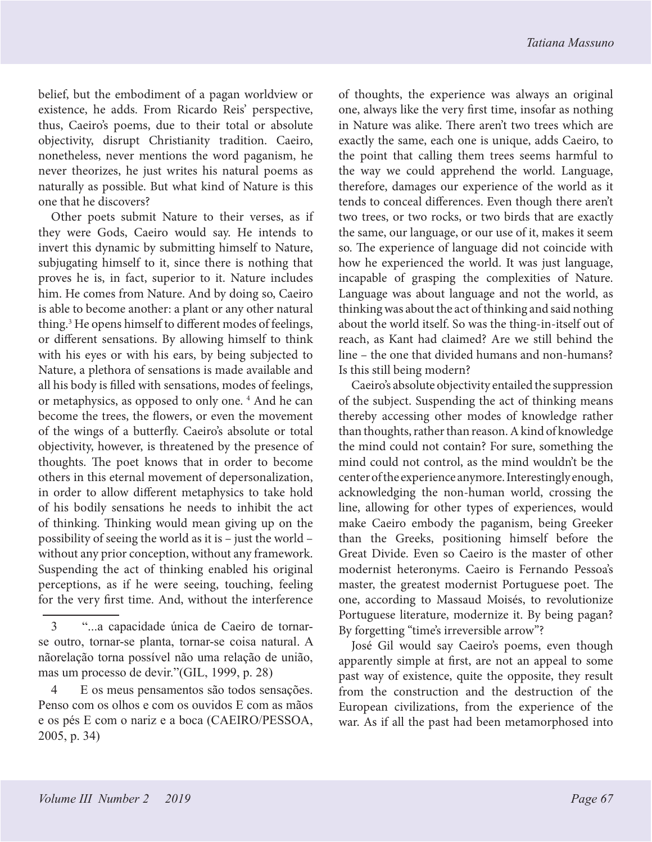belief, but the embodiment of a pagan worldview or existence, he adds. From Ricardo Reis' perspective, thus, Caeiro's poems, due to their total or absolute objectivity, disrupt Christianity tradition. Caeiro, nonetheless, never mentions the word paganism, he never theorizes, he just writes his natural poems as naturally as possible. But what kind of Nature is this one that he discovers?

Other poets submit Nature to their verses, as if they were Gods, Caeiro would say. He intends to invert this dynamic by submitting himself to Nature, subjugating himself to it, since there is nothing that proves he is, in fact, superior to it. Nature includes him. He comes from Nature. And by doing so, Caeiro is able to become another: a plant or any other natural thing.3 He opens himself to different modes of feelings, or different sensations. By allowing himself to think with his eyes or with his ears, by being subjected to Nature, a plethora of sensations is made available and all his body is filled with sensations, modes of feelings, or metaphysics, as opposed to only one.<sup>4</sup> And he can become the trees, the flowers, or even the movement of the wings of a butterfly. Caeiro's absolute or total objectivity, however, is threatened by the presence of thoughts. The poet knows that in order to become others in this eternal movement of depersonalization, in order to allow different metaphysics to take hold of his bodily sensations he needs to inhibit the act of thinking. Thinking would mean giving up on the possibility of seeing the world as it is – just the world – without any prior conception, without any framework. Suspending the act of thinking enabled his original perceptions, as if he were seeing, touching, feeling for the very first time. And, without the interference

of thoughts, the experience was always an original one, always like the very first time, insofar as nothing in Nature was alike. There aren't two trees which are exactly the same, each one is unique, adds Caeiro, to the point that calling them trees seems harmful to the way we could apprehend the world. Language, therefore, damages our experience of the world as it tends to conceal differences. Even though there aren't two trees, or two rocks, or two birds that are exactly the same, our language, or our use of it, makes it seem so. The experience of language did not coincide with how he experienced the world. It was just language, incapable of grasping the complexities of Nature. Language was about language and not the world, as thinking was about the act of thinking and said nothing about the world itself. So was the thing-in-itself out of reach, as Kant had claimed? Are we still behind the line – the one that divided humans and non-humans? Is this still being modern?

Caeiro's absolute objectivity entailed the suppression of the subject. Suspending the act of thinking means thereby accessing other modes of knowledge rather than thoughts, rather than reason. A kind of knowledge the mind could not contain? For sure, something the mind could not control, as the mind wouldn't be the center of the experience anymore. Interestingly enough, acknowledging the non-human world, crossing the line, allowing for other types of experiences, would make Caeiro embody the paganism, being Greeker than the Greeks, positioning himself before the Great Divide. Even so Caeiro is the master of other modernist heteronyms. Caeiro is Fernando Pessoa's master, the greatest modernist Portuguese poet. The one, according to Massaud Moisés, to revolutionize Portuguese literature, modernize it. By being pagan? By forgetting "time's irreversible arrow"?

José Gil would say Caeiro's poems, even though apparently simple at first, are not an appeal to some past way of existence, quite the opposite, they result from the construction and the destruction of the European civilizations, from the experience of the war. As if all the past had been metamorphosed into

<sup>3 &</sup>quot;...a capacidade única de Caeiro de tornarse outro, tornar-se planta, tornar-se coisa natural. A nãorelação torna possível não uma relação de união, mas um processo de devir."(GIL, 1999, p. 28)

<sup>4</sup> E os meus pensamentos são todos sensações. Penso com os olhos e com os ouvidos E com as mãos e os pés E com o nariz e a boca (CAEIRO/PESSOA, 2005, p. 34)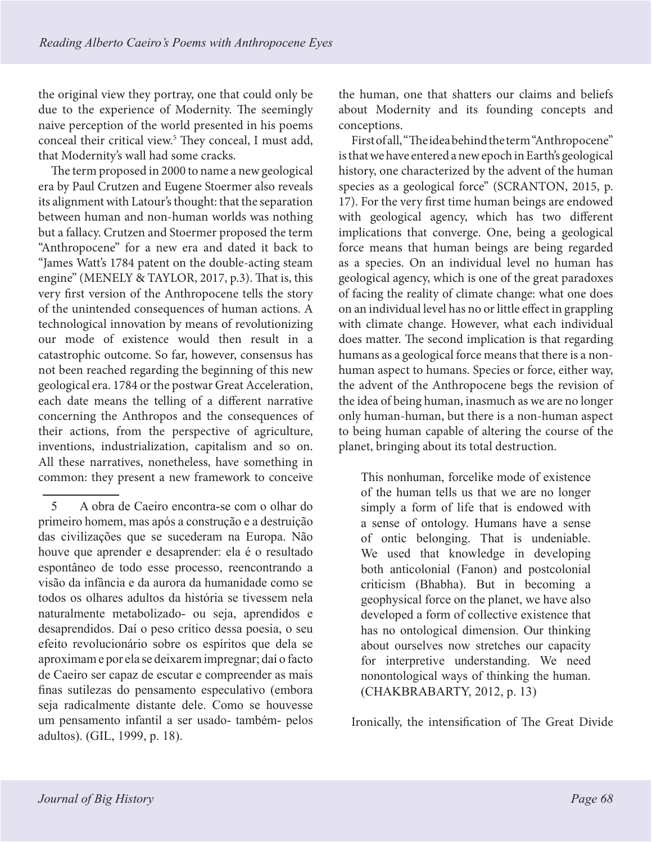the original view they portray, one that could only be due to the experience of Modernity. The seemingly naive perception of the world presented in his poems conceal their critical view.5 They conceal, I must add, that Modernity's wall had some cracks.

The term proposed in 2000 to name a new geological era by Paul Crutzen and Eugene Stoermer also reveals its alignment with Latour's thought: that the separation between human and non-human worlds was nothing but a fallacy. Crutzen and Stoermer proposed the term "Anthropocene" for a new era and dated it back to "James Watt's 1784 patent on the double-acting steam engine" (MENELY & TAYLOR, 2017, p.3). That is, this very first version of the Anthropocene tells the story of the unintended consequences of human actions. A technological innovation by means of revolutionizing our mode of existence would then result in a catastrophic outcome. So far, however, consensus has not been reached regarding the beginning of this new geological era. 1784 or the postwar Great Acceleration, each date means the telling of a different narrative concerning the Anthropos and the consequences of their actions, from the perspective of agriculture, inventions, industrialization, capitalism and so on. All these narratives, nonetheless, have something in common: they present a new framework to conceive

the human, one that shatters our claims and beliefs about Modernity and its founding concepts and conceptions.

First of all, "The idea behind the term "Anthropocene" is that we have entered a new epoch in Earth's geological history, one characterized by the advent of the human species as a geological force" (SCRANTON, 2015, p. 17). For the very first time human beings are endowed with geological agency, which has two different implications that converge. One, being a geological force means that human beings are being regarded as a species. On an individual level no human has geological agency, which is one of the great paradoxes of facing the reality of climate change: what one does on an individual level has no or little effect in grappling with climate change. However, what each individual does matter. The second implication is that regarding humans as a geological force means that there is a nonhuman aspect to humans. Species or force, either way, the advent of the Anthropocene begs the revision of the idea of being human, inasmuch as we are no longer only human-human, but there is a non-human aspect to being human capable of altering the course of the planet, bringing about its total destruction.

This nonhuman, forcelike mode of existence of the human tells us that we are no longer simply a form of life that is endowed with a sense of ontology. Humans have a sense of ontic belonging. That is undeniable. We used that knowledge in developing both anticolonial (Fanon) and postcolonial criticism (Bhabha). But in becoming a geophysical force on the planet, we have also developed a form of collective existence that has no ontological dimension. Our thinking about ourselves now stretches our capacity for interpretive understanding. We need nonontological ways of thinking the human. (CHAKBRABARTY, 2012, p. 13)

Ironically, the intensification of The Great Divide

<sup>5</sup> A obra de Caeiro encontra-se com o olhar do primeiro homem, mas após a construção e a destruição das civilizações que se sucederam na Europa. Não houve que aprender e desaprender: ela é o resultado espontâneo de todo esse processo, reencontrando a visão da infância e da aurora da humanidade como se todos os olhares adultos da história se tivessem nela naturalmente metabolizado- ou seja, aprendidos e desaprendidos. Daí o peso crítico dessa poesia, o seu efeito revolucionário sobre os espíritos que dela se aproximam e por ela se deixarem impregnar; daí o facto de Caeiro ser capaz de escutar e compreender as mais finas sutilezas do pensamento especulativo (embora seja radicalmente distante dele. Como se houvesse um pensamento infantil a ser usado- também- pelos adultos). (GIL, 1999, p. 18).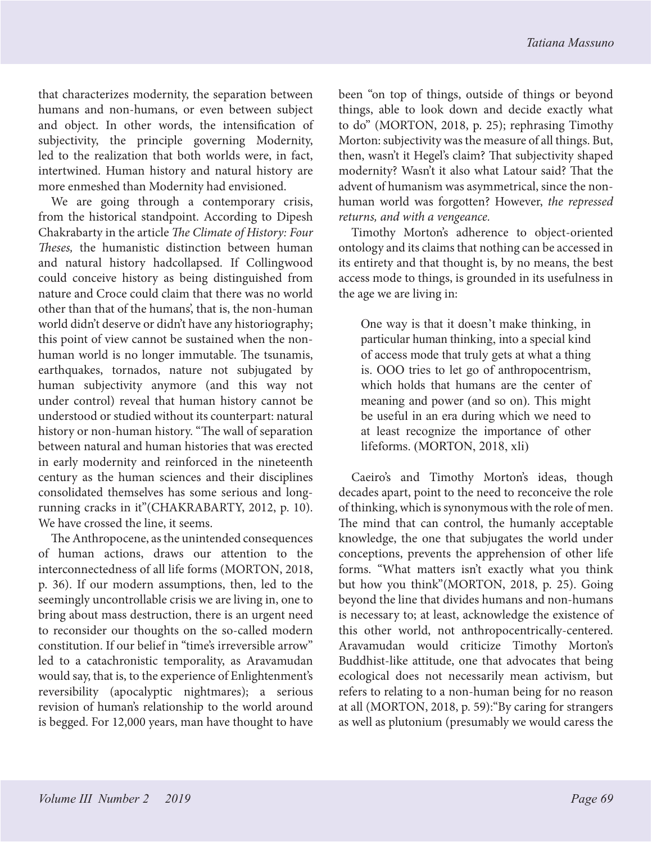that characterizes modernity, the separation between humans and non-humans, or even between subject and object. In other words, the intensification of subjectivity, the principle governing Modernity, led to the realization that both worlds were, in fact, intertwined. Human history and natural history are more enmeshed than Modernity had envisioned.

We are going through a contemporary crisis, from the historical standpoint. According to Dipesh Chakrabarty in the article *The Climate of History: Four Theses,* the humanistic distinction between human and natural history hadcollapsed. If Collingwood could conceive history as being distinguished from nature and Croce could claim that there was no world other than that of the humans', that is, the non-human world didn't deserve or didn't have any historiography; this point of view cannot be sustained when the nonhuman world is no longer immutable. The tsunamis, earthquakes, tornados, nature not subjugated by human subjectivity anymore (and this way not under control) reveal that human history cannot be understood or studied without its counterpart: natural history or non-human history. "The wall of separation between natural and human histories that was erected in early modernity and reinforced in the nineteenth century as the human sciences and their disciplines consolidated themselves has some serious and longrunning cracks in it"(CHAKRABARTY, 2012, p. 10). We have crossed the line, it seems.

The Anthropocene, as the unintended consequences of human actions, draws our attention to the interconnectedness of all life forms (MORTON, 2018, p. 36). If our modern assumptions, then, led to the seemingly uncontrollable crisis we are living in, one to bring about mass destruction, there is an urgent need to reconsider our thoughts on the so-called modern constitution. If our belief in "time's irreversible arrow" led to a catachronistic temporality, as Aravamudan would say, that is, to the experience of Enlightenment's reversibility (apocalyptic nightmares); a serious revision of human's relationship to the world around is begged. For 12,000 years, man have thought to have been "on top of things, outside of things or beyond things, able to look down and decide exactly what to do" (MORTON, 2018, p. 25); rephrasing Timothy Morton: subjectivity was the measure of all things. But, then, wasn't it Hegel's claim? That subjectivity shaped modernity? Wasn't it also what Latour said? That the advent of humanism was asymmetrical, since the nonhuman world was forgotten? However, *the repressed returns, and with a vengeance.* 

Timothy Morton's adherence to object-oriented ontology and its claims that nothing can be accessed in its entirety and that thought is, by no means, the best access mode to things, is grounded in its usefulness in the age we are living in:

One way is that it doesn't make thinking, in particular human thinking, into a special kind of access mode that truly gets at what a thing is. OOO tries to let go of anthropocentrism, which holds that humans are the center of meaning and power (and so on). This might be useful in an era during which we need to at least recognize the importance of other lifeforms. (MORTON, 2018, xli)

Caeiro's and Timothy Morton's ideas, though decades apart, point to the need to reconceive the role of thinking, which is synonymous with the role of men. The mind that can control, the humanly acceptable knowledge, the one that subjugates the world under conceptions, prevents the apprehension of other life forms. "What matters isn't exactly what you think but how you think"(MORTON, 2018, p. 25). Going beyond the line that divides humans and non-humans is necessary to; at least, acknowledge the existence of this other world, not anthropocentrically-centered. Aravamudan would criticize Timothy Morton's Buddhist-like attitude, one that advocates that being ecological does not necessarily mean activism, but refers to relating to a non-human being for no reason at all (MORTON, 2018, p. 59):"By caring for strangers as well as plutonium (presumably we would caress the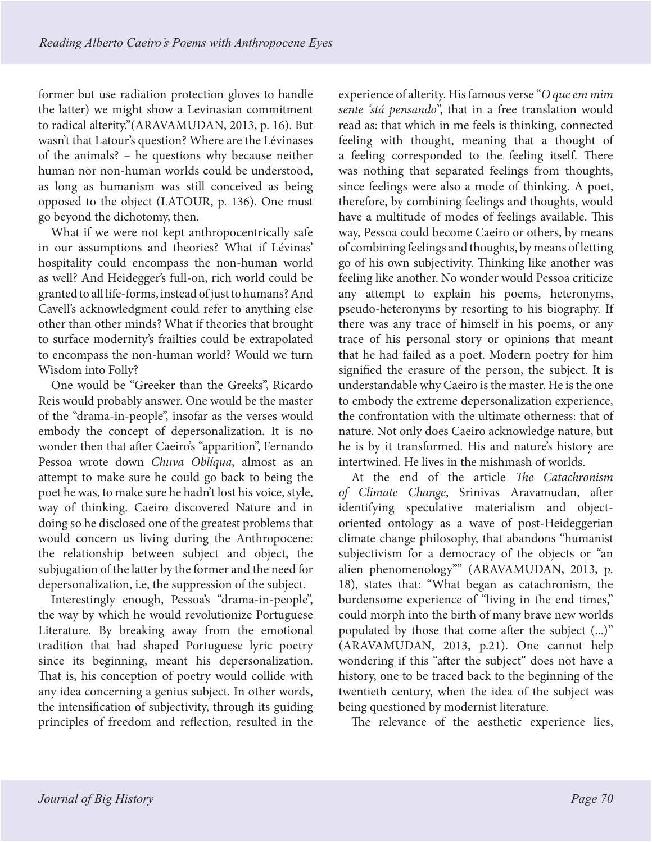former but use radiation protection gloves to handle the latter) we might show a Levinasian commitment to radical alterity."(ARAVAMUDAN, 2013, p. 16). But wasn't that Latour's question? Where are the Lévinases of the animals? – he questions why because neither human nor non-human worlds could be understood, as long as humanism was still conceived as being opposed to the object (LATOUR, p. 136). One must go beyond the dichotomy, then.

What if we were not kept anthropocentrically safe in our assumptions and theories? What if Lévinas' hospitality could encompass the non-human world as well? And Heidegger's full-on, rich world could be granted to all life-forms, instead of just to humans? And Cavell's acknowledgment could refer to anything else other than other minds? What if theories that brought to surface modernity's frailties could be extrapolated to encompass the non-human world? Would we turn Wisdom into Folly?

One would be "Greeker than the Greeks", Ricardo Reis would probably answer. One would be the master of the "drama-in-people", insofar as the verses would embody the concept of depersonalization. It is no wonder then that after Caeiro's "apparition", Fernando Pessoa wrote down *Chuva Oblíqua*, almost as an attempt to make sure he could go back to being the poet he was, to make sure he hadn't lost his voice, style, way of thinking. Caeiro discovered Nature and in doing so he disclosed one of the greatest problems that would concern us living during the Anthropocene: the relationship between subject and object, the subjugation of the latter by the former and the need for depersonalization, i.e, the suppression of the subject.

Interestingly enough, Pessoa's "drama-in-people", the way by which he would revolutionize Portuguese Literature. By breaking away from the emotional tradition that had shaped Portuguese lyric poetry since its beginning, meant his depersonalization. That is, his conception of poetry would collide with any idea concerning a genius subject. In other words, the intensification of subjectivity, through its guiding principles of freedom and reflection, resulted in the

experience of alterity. His famous verse "*O que em mim sente 'stá pensando*", that in a free translation would read as: that which in me feels is thinking, connected feeling with thought, meaning that a thought of a feeling corresponded to the feeling itself. There was nothing that separated feelings from thoughts, since feelings were also a mode of thinking. A poet, therefore, by combining feelings and thoughts, would have a multitude of modes of feelings available. This way, Pessoa could become Caeiro or others, by means of combining feelings and thoughts, by means of letting go of his own subjectivity. Thinking like another was feeling like another. No wonder would Pessoa criticize any attempt to explain his poems, heteronyms, pseudo-heteronyms by resorting to his biography. If there was any trace of himself in his poems, or any trace of his personal story or opinions that meant that he had failed as a poet. Modern poetry for him signified the erasure of the person, the subject. It is understandable why Caeiro is the master. He is the one to embody the extreme depersonalization experience, the confrontation with the ultimate otherness: that of nature. Not only does Caeiro acknowledge nature, but he is by it transformed. His and nature's history are intertwined. He lives in the mishmash of worlds.

At the end of the article *The Catachronism of Climate Change*, Srinivas Aravamudan, after identifying speculative materialism and objectoriented ontology as a wave of post-Heideggerian climate change philosophy, that abandons "humanist subjectivism for a democracy of the objects or "an alien phenomenology"" (ARAVAMUDAN, 2013, p. 18), states that: "What began as catachronism, the burdensome experience of "living in the end times," could morph into the birth of many brave new worlds populated by those that come after the subject (...)" (ARAVAMUDAN, 2013, p.21). One cannot help wondering if this "after the subject" does not have a history, one to be traced back to the beginning of the twentieth century, when the idea of the subject was being questioned by modernist literature.

The relevance of the aesthetic experience lies,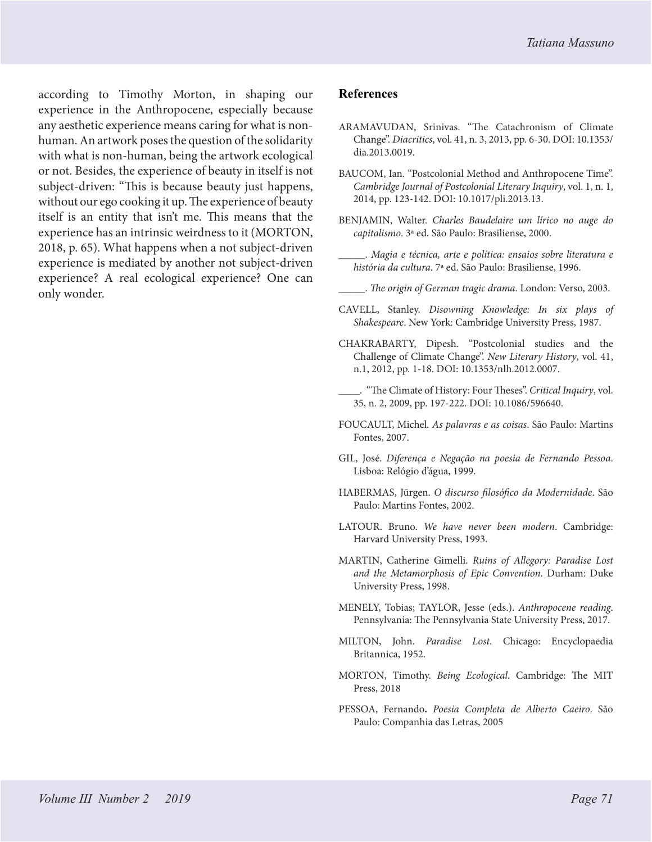according to Timothy Morton, in shaping our experience in the Anthropocene, especially because any aesthetic experience means caring for what is nonhuman. An artwork poses the question of the solidarity with what is non-human, being the artwork ecological or not. Besides, the experience of beauty in itself is not subject-driven: "This is because beauty just happens, without our ego cooking it up. The experience of beauty itself is an entity that isn't me. This means that the experience has an intrinsic weirdness to it (MORTON, 2018, p. 65). What happens when a not subject-driven experience is mediated by another not subject-driven experience? A real ecological experience? One can only wonder.

## **References**

- ARAMAVUDAN, Srinivas. "The Catachronism of Climate Change". *Diacritics*, vol. 41, n. 3, 2013, pp. 6-30. DOI: 10.1353/ dia.2013.0019.
- BAUCOM, Ian. "Postcolonial Method and Anthropocene Time". *Cambridge Journal of Postcolonial Literary Inquiry*, vol. 1, n. 1, 2014, pp. 123-142. DOI: 10.1017/pli.2013.13.
- BENJAMIN, Walter. *Charles Baudelaire um lírico no auge do capitalismo*. 3ª ed. São Paulo: Brasiliense, 2000.
- \_\_\_\_\_. *Magia e técnica, arte e política: ensaios sobre literatura e história da cultura*. 7ª ed. São Paulo: Brasiliense, 1996.
- \_\_\_\_\_. *The origin of German tragic drama*. London: Verso, 2003.
- CAVELL, Stanley. *Disowning Knowledge: In six plays of Shakespeare*. New York: Cambridge University Press, 1987.
- CHAKRABARTY, Dipesh. "Postcolonial studies and the Challenge of Climate Change". *New Literary History*, vol. 41, n.1, 2012, pp. 1-18. DOI: 10.1353/nlh.2012.0007.
- \_\_\_\_. "The Climate of History: Four Theses". *Critical Inquiry*, vol. 35, n. 2, 2009, pp. 197-222. DOI: 10.1086/596640.
- FOUCAULT, Michel*. As palavras e as coisas*. São Paulo: Martins Fontes, 2007.
- GIL, José. *Diferença e Negação na poesia de Fernando Pessoa*. Lisboa: Relógio d'água, 1999.
- HABERMAS, Jürgen. *O discurso filosófico da Modernidade*. São Paulo: Martins Fontes, 2002.
- LATOUR. Bruno. *We have never been modern*. Cambridge: Harvard University Press, 1993.
- MARTIN, Catherine Gimelli. *Ruins of Allegory: Paradise Lost and the Metamorphosis of Epic Convention*. Durham: Duke University Press, 1998.
- MENELY, Tobias; TAYLOR, Jesse (eds.). *Anthropocene reading*. Pennsylvania: The Pennsylvania State University Press, 2017.
- MILTON, John. *Paradise Lost*. Chicago: Encyclopaedia Britannica, 1952.
- MORTON, Timothy. *Being Ecological*. Cambridge: The MIT Press, 2018
- PESSOA, Fernando*. Poesia Completa de Alberto Caeiro*. São Paulo: Companhia das Letras, 2005